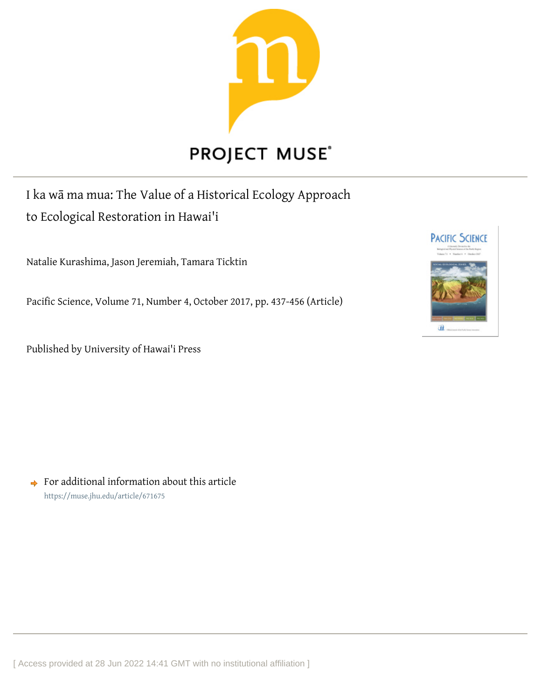

# I ka wā ma mua: The Value of a Historical Ecology Approach to Ecological Restoration in Hawai'i

Natalie Kurashima, Jason Jeremiah, Tamara Ticktin

Pacific Science, Volume 71, Number 4, October 2017, pp. 437-456 (Article)

Published by University of Hawai'i Press



 $\rightarrow$  For additional information about this article <https://muse.jhu.edu/article/671675>

[ Access provided at 28 Jun 2022 14:41 GMT with no institutional affiliation ]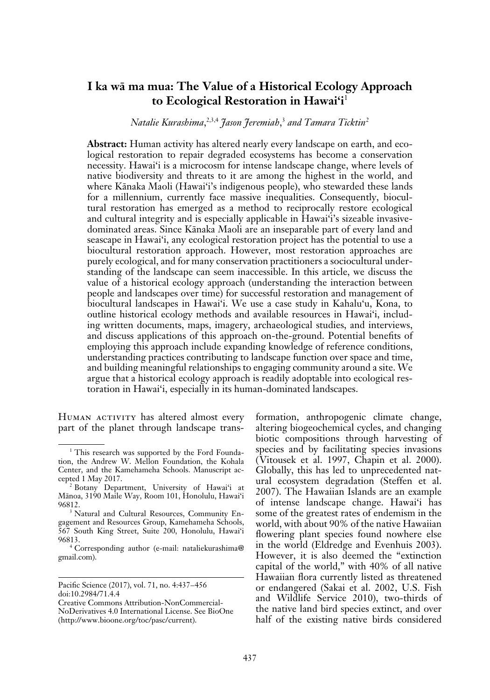## **I ka wä ma mua: The Value of a Historical Ecology Approach to Ecological Restoration in Hawai'i**<sup>1</sup>

## *Natalie Kurashima*, 2,3,4 *Jason Jeremiah*, 3  *and Tamara Ticktin*<sup>2</sup>

**Abstract:** Human activity has altered nearly every landscape on earth, and ecological restoration to repair degraded ecosystems has become a conservation necessity. Hawai'i is a microcosm for intense landscape change, where levels of native biodiversity and threats to it are among the highest in the world, and where Känaka Maoli (Hawai'i's indigenous people), who stewarded these lands for a millennium, currently face massive inequalities. Consequently, biocultural restoration has emerged as a method to reciprocally restore ecological and cultural integrity and is especially applicable in Hawai'i's sizeable invasivedominated areas. Since Känaka Maoli are an inseparable part of every land and seascape in Hawai'i, any ecological restoration project has the potential to use a biocultural restoration approach. However, most restoration approaches are purely ecological, and for many conservation practitioners a sociocultural understanding of the landscape can seem inaccessible. In this article, we discuss the value of a historical ecology approach (understanding the interaction between people and landscapes over time) for successful restoration and management of biocultural landscapes in Hawai'i. We use a case study in Kahalu'u, Kona, to outline historical ecology methods and available resources in Hawai'i, including written documents, maps, imagery, archaeological studies, and interviews, and discuss applications of this approach on-the-ground. Potential benefits of employing this approach include expanding knowledge of reference conditions, understanding practices contributing to landscape function over space and time, and building meaningful relationships to engaging community around a site. We argue that a historical ecology approach is readily adoptable into ecological restoration in Hawai'i, especially in its human-dominated landscapes.

HUMAN ACTIVITY has altered almost every part of the planet through landscape transformation, anthropogenic climate change, altering biogeochemical cycles, and changing biotic compositions through harvesting of species and by facilitating species invasions ( Vitousek et al. 1997, Chapin et al. 2000). Globally, this has led to unprecedented natural ecosystem degradation (Steffen et al. 2007). The Hawaiian Islands are an example of intense landscape change. Hawai'i has some of the greatest rates of endemism in the world, with about 90% of the native Hawaiian flowering plant species found nowhere else in the world (Eldredge and Evenhuis 2003). However, it is also deemed the "extinction capital of the world," with 40% of all native Hawaiian flora currently listed as threatened or endangered (Sakai et al. 2002, U.S. Fish and Wildlife Service 2010), two-thirds of the native land bird species extinct, and over half of the existing native birds considered

<sup>&</sup>lt;sup>1</sup> This research was supported by the Ford Foundation, the Andrew W. Mellon Foundation, the Kohala Center, and the Kamehameha Schools. Manuscript accepted 1 May 2017.

<sup>2</sup> Botany Department, University of Hawai'i at Mänoa, 3190 Maile Way, Room 101, Honolulu, Hawai'i 96812.

<sup>&</sup>lt;sup>3</sup> Natural and Cultural Resources, Community Engagement and Resources Group, Kamehameha Schools, 567 South King Street, Suite 200, Honolulu, Hawai'i 96813.

<sup>4</sup> Corresponding author (e-mail: nataliekurashima@ gmail.com).

Pacific Science (2017), vol. 71, no. 4:437–456 doi:10.2984/71.4.4

Creative Commons Attribution-NonCommercial-NoDerivatives 4.0 International License. See BioOne (http://www.bioone.org/toc/pasc/current).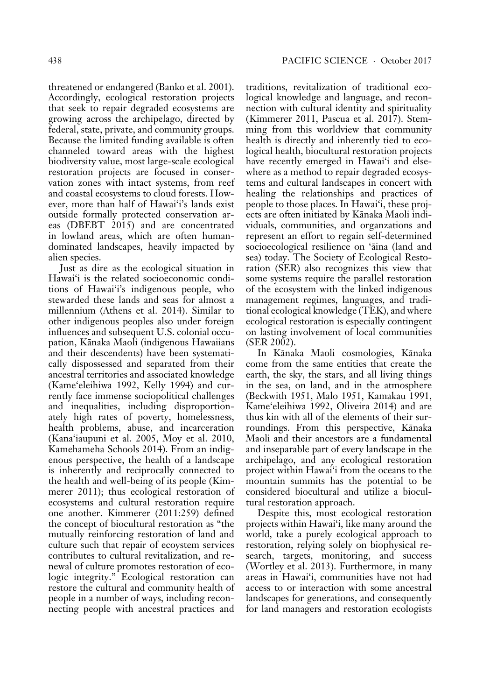threatened or endangered (Banko et al. 2001). Accordingly, ecological restoration projects that seek to repair degraded ecosystems are growing across the archipelago, directed by federal, state, private, and community groups. Because the limited funding available is often channeled toward areas with the highest biodiversity value, most large-scale ecological restoration projects are focused in conservation zones with intact systems, from reef and coastal ecosystems to cloud forests. However, more than half of Hawai'i's lands exist outside formally protected conservation areas (DBEBT 2015) and are concentrated in lowland areas, which are often humandominated landscapes, heavily impacted by alien species.

Just as dire as the ecological situation in Hawai'i is the related socioeconomic conditions of Hawai'i's indigenous people, who stewarded these lands and seas for almost a millennium (Athens et al. 2014). Similar to other indigenous peoples also under foreign influences and subsequent U.S. colonial occupation, Känaka Maoli (indigenous Hawaiians and their descendents) have been systematically dispossessed and separated from their ancestral territories and associated knowledge (Kame'eleihiwa 1992, Kelly 1994) and currently face immense sociopolitical challenges and inequalities, including disproportionately high rates of poverty, homelessness, health problems, abuse, and incarceration (Kana'iaupuni et al. 2005, Moy et al. 2010, Kamehameha Schools 2014). From an indigenous perspective, the health of a landscape is inherently and reciprocally connected to the health and well-being of its people (Kimmerer 2011); thus ecological restoration of ecosystems and cultural restoration require one another. Kimmerer (2011:259) defined the concept of biocultural restoration as "the mutually reinforcing restoration of land and culture such that repair of ecoystem services contributes to cultural revitalization, and renewal of culture promotes restoration of ecologic integrity." Ecological restoration can restore the cultural and community health of people in a number of ways, including reconnecting people with ancestral practices and

traditions, revitalization of traditional ecological knowledge and language, and reconnection with cultural identity and spirituality (Kimmerer 2011, Pascua et al. 2017). Stemming from this worldview that community health is directly and inherently tied to ecological health, biocultural restoration projects have recently emerged in Hawai'i and elsewhere as a method to repair degraded ecosystems and cultural landscapes in concert with healing the relationships and practices of people to those places. In Hawai'i, these projects are often initiated by Känaka Maoli individuals, communities, and organzations and represent an effort to regain self-determined socioecological resilience on 'äina (land and sea) today. The Society of Ecological Restoration (SER) also recognizes this view that some systems require the parallel restoration of the ecosystem with the linked indigenous management regimes, languages, and traditional ecological knowledge (TEK), and where ecological restoration is especially contingent on lasting involvement of local communities (SER 2002).

In Känaka Maoli cosmologies, Känaka come from the same entities that create the earth, the sky, the stars, and all living things in the sea, on land, and in the atmosphere (Beckwith 1951, Malo 1951, Kamakau 1991, Kame'eleihiwa 1992, Oliveira 2014) and are thus kin with all of the elements of their surroundings. From this perspective, Känaka Maoli and their ancestors are a fundamental and inseparable part of every landscape in the archipelago, and any ecological restoration project within Hawai'i from the oceans to the mountain summits has the potential to be considered biocultural and utilize a biocultural restoration approach.

Despite this, most ecological restoration projects within Hawai'i, like many around the world, take a purely ecological approach to restoration, relying solely on biophysical research, targets, monitoring, and success (Wortley et al. 2013). Furthermore, in many areas in Hawai'i, communities have not had access to or interaction with some ancestral landscapes for generations, and consequently for land managers and restoration ecologists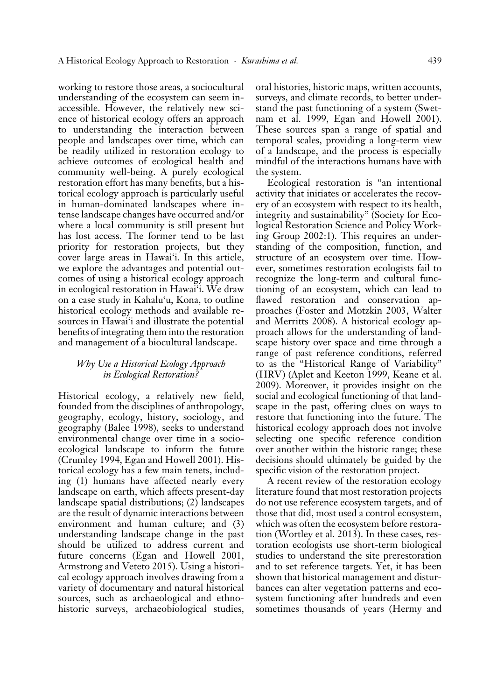working to restore those areas, a sociocultural understanding of the ecosystem can seem inaccessible. However, the relatively new science of historical ecology offers an approach to understanding the interaction between people and landscapes over time, which can be readily utilized in restoration ecology to achieve outcomes of ecological health and community well-being. A purely ecological restoration effort has many benefits, but a historical ecology approach is particularly useful in human-dominated landscapes where intense landscape changes have occurred and/or where a local community is still present but has lost access. The former tend to be last priority for restoration projects, but they cover large areas in Hawai'i. In this article, we explore the advantages and potential outcomes of using a historical ecology approach in ecological restoration in Hawai'i. We draw on a case study in Kahalu'u, Kona, to outline historical ecology methods and available resources in Hawai'i and illustrate the potential benefits of integrating them into the restoration and management of a biocultural landscape.

#### *Why Use a Historical Ecology Approach in Ecological Restoration?*

Historical ecology, a relatively new field, founded from the disciplines of anthropology, geography, ecology, history, sociology, and geography (Balee 1998), seeks to understand environmental change over time in a socioecological landscape to inform the future (Crumley 1994, Egan and Howell 2001). Historical ecology has a few main tenets, including (1) humans have affected nearly every landscape on earth, which affects present-day landscape spatial distributions; (2) landscapes are the result of dynamic interactions between environment and human culture; and (3) understanding landscape change in the past should be utilized to address current and future concerns (Egan and Howell 2001, Armstrong and Veteto 2015). Using a historical ecology approach involves drawing from a variety of documentary and natural historical sources, such as archaeological and ethnohistoric surveys, archaeobiological studies,

oral histories, historic maps, written accounts, surveys, and climate records, to better understand the past functioning of a system (Swetnam et al. 1999, Egan and Howell 2001). These sources span a range of spatial and temporal scales, providing a long-term view of a landscape, and the process is especially mindful of the interactions humans have with the system.

Ecological restoration is "an intentional activity that initiates or accelerates the recovery of an ecosystem with respect to its health, integrity and sustainability" (Society for Ecological Restoration Science and Policy Working Group 2002:1). This requires an understanding of the composition, function, and structure of an ecosystem over time. However, sometimes restoration ecologists fail to recognize the long-term and cultural functioning of an ecosystem, which can lead to flawed restoration and conservation approaches (Foster and Motzkin 2003, Walter and Merritts 2008). A historical ecology approach allows for the understanding of landscape history over space and time through a range of past reference conditions, referred to as the "Historical Range of Variability" (HRV) (Aplet and Keeton 1999, Keane et al. 2009). Moreover, it provides insight on the social and ecological functioning of that landscape in the past, offering clues on ways to restore that functioning into the future. The historical ecology approach does not involve selecting one specific reference condition over another within the historic range; these decisions should ultimately be guided by the specific vision of the restoration project.

A recent review of the restoration ecology literature found that most restoration projects do not use reference ecosystem targets, and of those that did, most used a control ecosystem, which was often the ecosystem before restoration (Wortley et al. 2013). In these cases, restoration ecologists use short-term biological studies to understand the site prerestoration and to set reference targets. Yet, it has been shown that historical management and disturbances can alter vegetation patterns and ecosystem functioning after hundreds and even sometimes thousands of years (Hermy and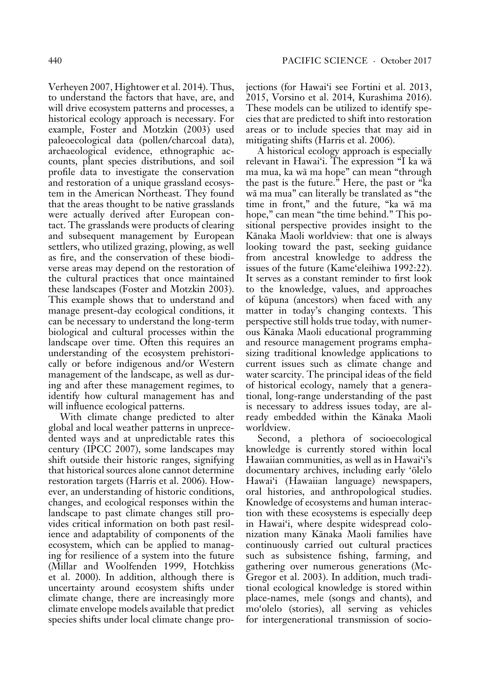Verheyen 2007, Hightower et al. 2014). Thus, to understand the factors that have, are, and will drive ecosystem patterns and processes, a historical ecology approach is necessary. For example, Foster and Motzkin (2003) used paleoecological data (pollen/charcoal data), archaeological evidence, ethnographic accounts, plant species distributions, and soil profile data to investigate the conservation and restoration of a unique grassland ecosystem in the American Northeast. They found that the areas thought to be native grasslands were actually derived after European contact. The grasslands were products of clearing and subsequent management by European settlers, who utilized grazing, plowing, as well as fire, and the conservation of these biodiverse areas may depend on the restoration of the cultural practices that once maintained these landscapes (Foster and Motzkin 2003). This example shows that to understand and manage present-day ecological conditions, it can be necessary to understand the long-term biological and cultural processes within the landscape over time. Often this requires an understanding of the ecosystem prehistorically or before indigenous and/or Western management of the landscape, as well as during and after these management regimes, to identify how cultural management has and will influence ecological patterns.

With climate change predicted to alter global and local weather patterns in unprecedented ways and at unpredictable rates this century (IPCC 2007), some landscapes may shift outside their historic ranges, signifying that historical sources alone cannot determine restoration targets (Harris et al. 2006). However, an understanding of historic conditions, changes, and ecological responses within the landscape to past climate changes still provides critical information on both past resilience and adaptability of components of the ecosystem, which can be applied to managing for resilience of a system into the future (Millar and Woolfenden 1999, Hotchkiss et al. 2000). In addition, although there is uncertainty around ecosystem shifts under climate change, there are increasingly more climate envelope models available that predict species shifts under local climate change projections (for Hawai'i see Fortini et al. 2013, 2015, Vorsino et al. 2014, Kurashima 2016). These models can be utilized to identify species that are predicted to shift into restoration areas or to include species that may aid in mitigating shifts (Harris et al. 2006).

A historical ecology approach is especially relevant in Hawai'i. The expression "I ka wä ma mua, ka wä ma hope" can mean "through the past is the future." Here, the past or "ka wä ma mua" can literally be translated as "the time in front," and the future, "ka wä ma hope," can mean "the time behind." This positional perspective provides insight to the Känaka Maoli worldview: that one is always looking toward the past, seeking guidance from ancestral knowledge to address the issues of the future (Kame'eleihiwa 1992:22). It serves as a constant reminder to first look to the knowledge, values, and approaches of küpuna (ancestors) when faced with any matter in today's changing contexts. This perspective still holds true today, with numerous Känaka Maoli educational programming and resource management programs emphasizing traditional knowledge applications to current issues such as climate change and water scarcity. The principal ideas of the field of historical ecology, namely that a generational, long-range understanding of the past is necessary to address issues today, are already embedded within the Känaka Maoli worldview.

Second, a plethora of socioecological knowledge is currently stored within local Hawaiian communities, as well as in Hawai'i's documentary archives, including early 'ölelo Hawai'i (Hawaiian language) newspapers, oral histories, and anthropological studies. Knowledge of ecosystems and human interaction with these ecosystems is especially deep in Hawai'i, where despite widespread colonization many Känaka Maoli families have continuously carried out cultural practices such as subsistence fishing, farming, and gathering over numerous generations (Mc-Gregor et al. 2003). In addition, much traditional ecological knowledge is stored within place-names, mele (songs and chants), and mo'olelo (stories), all serving as vehicles for intergenerational transmission of socio-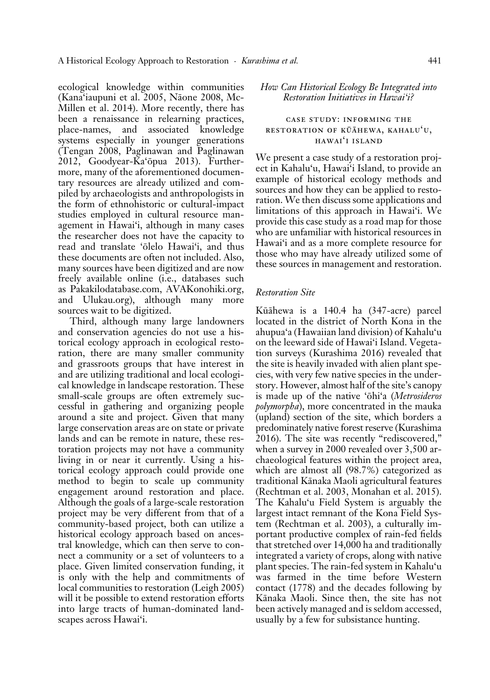ecological knowledge within communities (Kana'iaupuni et al. 2005, Näone 2008, Mc-Millen et al. 2014). More recently, there has been a renaissance in relearning practices, place-names, and associated knowledge systems especially in younger generations (Tengan 2008, Paglinawan and Paglinawan 2012, Goodyear-Ka'öpua 2013). Furthermore, many of the aforementioned documentary resources are already utilized and compiled by archaeologists and anthropologists in the form of ethnohistoric or cultural-impact studies employed in cultural resource management in Hawai'i, although in many cases the researcher does not have the capacity to read and translate 'ölelo Hawai'i, and thus these documents are often not included. Also, many sources have been digitized and are now freely available online (i.e., databases such as Pakakilodatabase.com, AVAKonohiki.org, and Ulukau.org), although many more sources wait to be digitized.

Third, although many large landowners and conservation agencies do not use a historical ecology approach in ecological restoration, there are many smaller community and grassroots groups that have interest in and are utilizing traditional and local ecological knowledge in landscape restoration. These small-scale groups are often extremely successful in gathering and organizing people around a site and project. Given that many large conservation areas are on state or private lands and can be remote in nature, these restoration projects may not have a community living in or near it currently. Using a historical ecology approach could provide one method to begin to scale up community engagement around restoration and place. Although the goals of a large-scale restoration project may be very different from that of a community-based project, both can utilize a historical ecology approach based on ancestral knowledge, which can then serve to connect a community or a set of volunteers to a place. Given limited conservation funding, it is only with the help and commitments of local communities to restoration (Leigh 2005) will it be possible to extend restoration efforts into large tracts of human-dominated landscapes across Hawai'i.

*How Can Historical Ecology Be Integrated into Restoration Initiatives in Hawai'i?*

#### case study: informing the restoration of küähewa, kahalu'u, hawai'i island

We present a case study of a restoration project in Kahalu'u, Hawai'i Island, to provide an example of historical ecology methods and sources and how they can be applied to restoration. We then discuss some applications and limitations of this approach in Hawai'i. We provide this case study as a road map for those who are unfamiliar with historical resources in Hawai'i and as a more complete resource for those who may have already utilized some of these sources in management and restoration.

#### *Restoration Site*

Küähewa is a 140.4 ha (347-acre) parcel located in the district of North Kona in the ahupua'a (Hawaiian land division) of Kahalu'u on the leeward side of Hawai'i Island. Vegetation surveys (Kurashima 2016) revealed that the site is heavily invaded with alien plant species, with very few native species in the understory. However, almost half of the site's canopy is made up of the native 'öhi'a (*Metrosideros polymorpha*), more concentrated in the mauka (upland) section of the site, which borders a predominately native forest reserve (Kurashima 2016). The site was recently "rediscovered," when a survey in 2000 revealed over 3,500 archaeological features within the project area, which are almost all (98.7%) categorized as traditional Känaka Maoli agricultural features (Rechtman et al. 2003, Monahan et al. 2015). The Kahalu'u Field System is arguably the largest intact remnant of the Kona Field System (Rechtman et al. 2003), a culturally important productive complex of rain-fed fields that stretched over 14,000 ha and traditionally integrated a variety of crops, along with native plant species. The rain-fed system in Kahalu'u was farmed in the time before Western contact (1778) and the decades following by Känaka Maoli. Since then, the site has not been actively managed and is seldom accessed, usually by a few for subsistance hunting.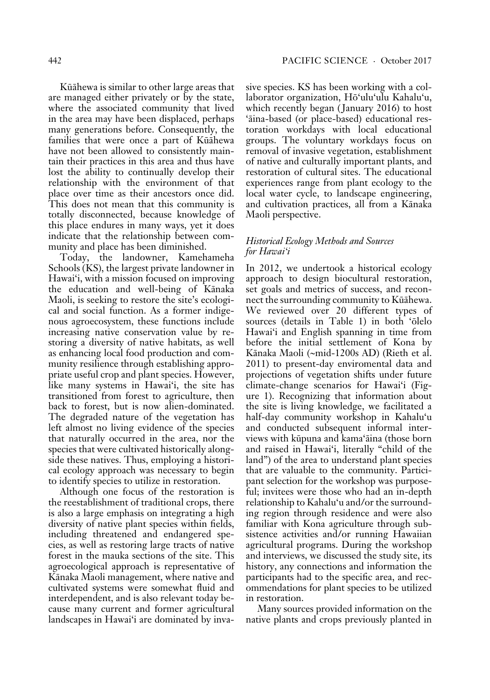Küähewa is similar to other large areas that are managed either privately or by the state, where the associated community that lived in the area may have been displaced, perhaps many generations before. Consequently, the families that were once a part of Küähewa have not been allowed to consistently maintain their practices in this area and thus have lost the ability to continually develop their relationship with the environment of that place over time as their ancestors once did. This does not mean that this community is totally disconnected, because knowledge of this place endures in many ways, yet it does indicate that the relationship between community and place has been diminished.

Today, the landowner, Kamehameha Schools (KS), the largest private landowner in Hawai'i, with a mission focused on improving the education and well-being of Känaka Maoli, is seeking to restore the site's ecological and social function. As a former indigenous agroecosystem, these functions include increasing native conservation value by restoring a diversity of native habitats, as well as enhancing local food production and community resilience through establishing appropriate useful crop and plant species. However, like many systems in Hawai'i, the site has transitioned from forest to agriculture, then back to forest, but is now alien-dominated. The degraded nature of the vegetation has left almost no living evidence of the species that naturally occurred in the area, nor the species that were cultivated historically alongside these natives. Thus, employing a historical ecology approach was necessary to begin to identify species to utilize in restoration.

Although one focus of the restoration is the reestablishment of traditional crops, there is also a large emphasis on integrating a high diversity of native plant species within fields, including threatened and endangered species, as well as restoring large tracts of native forest in the mauka sections of the site. This agroecological approach is representative of Känaka Maoli management, where native and cultivated systems were somewhat fluid and interdependent, and is also relevant today because many current and former agricultural landscapes in Hawai'i are dominated by invasive species. KS has been working with a collaborator organization, Hö'ulu'ulu Kahalu'u, which recently began (January 2016) to host 'äina-based (or place-based) educational restoration workdays with local educational groups. The voluntary workdays focus on removal of invasive vegetation, establishment of native and culturally important plants, and restoration of cultural sites. The educational experiences range from plant ecology to the local water cycle, to landscape engineering, and cultivation practices, all from a Känaka Maoli perspective.

## *Historical Ecology Methods and Sources for Hawai'i*

In 2012, we undertook a historical ecology approach to design biocultural restoration, set goals and metrics of success, and reconnect the surrounding community to Küähewa. We reviewed over 20 different types of sources (details in Table 1) in both 'ölelo Hawai'i and English spanning in time from before the initial settlement of Kona by Känaka Maoli (~mid-1200s AD) (Rieth et al. 2011) to present-day enviromental data and projections of vegetation shifts under future climate-change scenarios for Hawai'i (Figure 1). Recognizing that information about the site is living knowledge, we facilitated a half-day community workshop in Kahalu'u and conducted subsequent informal interviews with küpuna and kama'äina (those born and raised in Hawai'i, literally "child of the land") of the area to understand plant species that are valuable to the community. Participant selection for the workshop was purposeful; invitees were those who had an in-depth relationship to Kahalu'u and/or the surrounding region through residence and were also familiar with Kona agriculture through subsistence activities and/or running Hawaiian agricultural programs. During the workshop and interviews, we discussed the study site, its history, any connections and information the participants had to the specific area, and recommendations for plant species to be utilized in restoration.

Many sources provided information on the native plants and crops previously planted in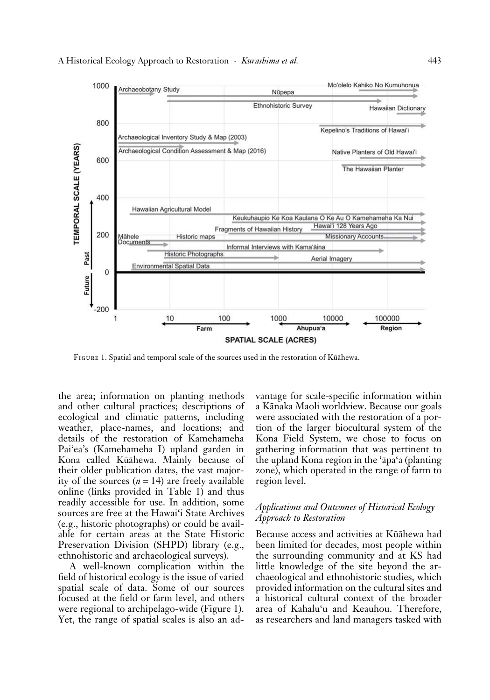

Figure 1. Spatial and temporal scale of the sources used in the restoration of Küähewa.

the area; information on planting methods and other cultural practices; descriptions of ecological and climatic patterns, including weather, place-names, and locations; and details of the restoration of Kamehameha Pai'ea's (Kamehameha I) upland garden in Kona called Küähewa. Mainly because of their older publication dates, the vast majority of the sources  $(n = 14)$  are freely available online (links provided in Table 1) and thus readily accessible for use. In addition, some sources are free at the Hawai'i State Archives (e.g., historic photographs) or could be available for certain areas at the State Historic Preservation Division (SHPD) library (e.g., ethnohistoric and archaeological surveys).

A well-known complication within the field of historical ecology is the issue of varied spatial scale of data. Some of our sources focused at the field or farm level, and others were regional to archipelago-wide (Figure 1). Yet, the range of spatial scales is also an advantage for scale-specific information within a Känaka Maoli worldview. Because our goals were associated with the restoration of a portion of the larger biocultural system of the Kona Field System, we chose to focus on gathering information that was pertinent to the upland Kona region in the 'äpa'a (planting zone), which operated in the range of farm to region level.

## *Applications and Outcomes of Historical Ecology Approach to Restoration*

Because access and activities at Küähewa had been limited for decades, most people within the surrounding community and at KS had little knowledge of the site beyond the archaeological and ethnohistoric studies, which provided information on the cultural sites and a historical cultural context of the broader area of Kahalu'u and Keauhou. Therefore, as researchers and land managers tasked with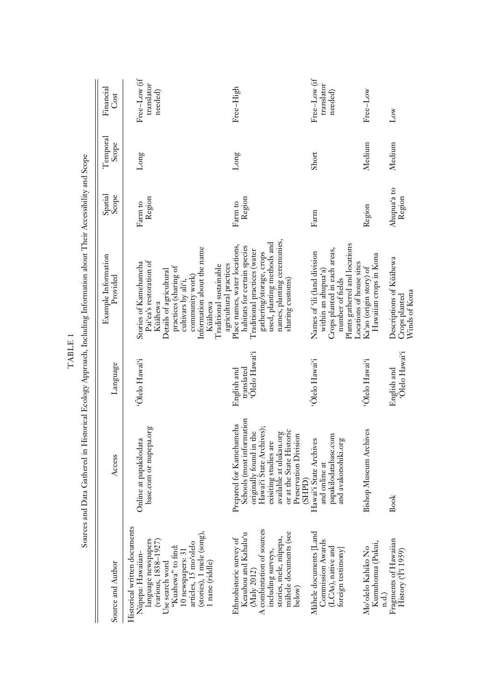| : 22.2011                                                                                                                                                                                                 |                                            | respectively and the contract of the contract of the contract of the contract of the contract of the contract of the contract of the contract of the contract of the contract of the contract of the contract of the contract              |                       |                   |                                       |
|-----------------------------------------------------------------------------------------------------------------------------------------------------------------------------------------------------------|--------------------------------------------|--------------------------------------------------------------------------------------------------------------------------------------------------------------------------------------------------------------------------------------------|-----------------------|-------------------|---------------------------------------|
| Access                                                                                                                                                                                                    | Language                                   | Example Information<br>Provided                                                                                                                                                                                                            | Spatial<br>Scope      | Temporal<br>Scope | Financial<br>Cost                     |
| base.com or nupepa.org<br>Online at papakilodata                                                                                                                                                          | Olelo Hawai'i                              | Pai'ea's restoration of<br>Stories of Kamehameha<br>practices (sharing of<br>Details of agricultural<br>cultivars by ali'i,<br>Kūāhewa                                                                                                     | Region<br>Farm to     | Long              | Free-Low (if<br>translator<br>needed) |
| Schools (most information<br>Prepared for Kamehameha<br>Hawai'i State Archives):<br>originally found in the                                                                                               | Olelo Hawai'i<br>translated<br>English and | Place names, water locations,<br>habitats for certain species<br>Information about the name<br>Traditional practices (water<br>gathering/storage, crops<br>agricultural practices<br>Traditional sustainable<br>community work)<br>Kūāhewa | Region<br>Farm to     | Long              | Free-High                             |
| or at the State Historic<br>available at ulukau.org<br>Preservation Division<br>papakilodatabase.com<br>and avakonohiki.org<br>Hawai'i State Archives<br>exisiting studies are<br>and online at<br>(GHPD) | Olelo Hawai'i                              | names, planting ceremonies,<br>used, planting methods and<br>Crops planted in each areas,<br>Names of 'ili (land division<br>within an ahupua'a)<br>number of fields<br>sharing customs)                                                   | Farm                  | Short             | Free-Low (if<br>translator<br>needed) |
| <b>Bishop Museum Archives</b>                                                                                                                                                                             | Olelo Hawai'i                              | Plants gathered and locations<br>Hawaiian crops in Kona<br>Locations of house sites<br>Ka'ao (origin story) of                                                                                                                             | Region                | Medium            | Free-Low                              |
| <b>Book</b>                                                                                                                                                                                               | Olelo Hawai'i<br>English and               | Descriptions of Kūahewa<br>Winds of Kona<br>Crops planted                                                                                                                                                                                  | Ahupua'a to<br>Region | Medium            | $_{\text{Low}}$                       |

Sources and Data Gathered in Historical Ecology Approach, Including Information about Their Accessibility and Scope Sources and Data Gathered in Historical Ecology Approach, Including Information about Their Accessibility and Scope

 $\operatorname{TABLE}1$ TABLE 1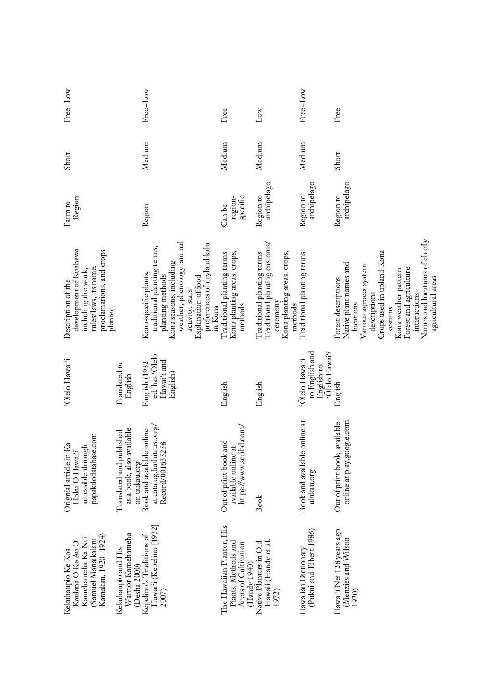| Free-Low                                                                                                                            |                                                                       | Free-Low                                                                                                                                                                                                              | Free                                                                                     | $_{\text{Low}}$                                                                                                   | Free-Low                                                       | Free                                                                                                                                                                                                                                                                  |
|-------------------------------------------------------------------------------------------------------------------------------------|-----------------------------------------------------------------------|-----------------------------------------------------------------------------------------------------------------------------------------------------------------------------------------------------------------------|------------------------------------------------------------------------------------------|-------------------------------------------------------------------------------------------------------------------|----------------------------------------------------------------|-----------------------------------------------------------------------------------------------------------------------------------------------------------------------------------------------------------------------------------------------------------------------|
| Short                                                                                                                               |                                                                       | Medium                                                                                                                                                                                                                | Medium                                                                                   | Medium                                                                                                            | Medium                                                         | Short                                                                                                                                                                                                                                                                 |
| Region<br>Farm to                                                                                                                   |                                                                       | Region                                                                                                                                                                                                                | specific<br>region-<br>Can be                                                            | archipelago<br>Region to                                                                                          | archipelago<br>Region to                                       | archipelago<br>Region to                                                                                                                                                                                                                                              |
| development of Kūāhewa<br>proclamations, and crops<br>rules/laws, its name,<br>including the work,<br>Description of the<br>planted |                                                                       | weather, phenology, animal<br>preferences of dryland kalo<br>traditional planting terms,<br>Kona seasons, including<br>Kona-specific plants,<br>planting methods<br>Explanation of food<br>activity, stars<br>in Kona | Kona planting areas, crops,<br>Traditional planting terms<br>methods                     | Traditional planting customs/<br>Kona planting areas, crops,<br>Traditional planting terms<br>ceremony<br>methods | Traditional planting terms                                     | Names and locations of chiefly<br>Crops used in upland Kona<br>Native plant names and<br>Various agroecosystem<br>Forest and agriculture<br>Kona weather pattern<br>agricultural areas<br>Forest descriptions<br>descriptions<br>interactions<br>locations<br>systems |
| Ölelo Hawai'i                                                                                                                       | Translated to<br>English                                              | ed. has 'Olelo<br>Hawai'i and<br>English (1932<br>English)                                                                                                                                                            | English                                                                                  | English                                                                                                           | to English and<br>Olelo Hawai'i<br>Olelo Hawai'i<br>English to | English                                                                                                                                                                                                                                                               |
| papakilodatabase.com<br>Orignial article in Ka<br>accessible through<br>Hoku O Hawai'i                                              | as a book, also available<br>Translated and published<br>on uukau.org | at catalog.hathitrust.org/<br>Book and available online<br>Record/001635258                                                                                                                                           | https://www.scribd.com/<br>Out of print book and<br>available online at                  | <b>Book</b>                                                                                                       | Book and available online at<br>ulukau.org                     | online at play.google.com<br>Out of print book; available                                                                                                                                                                                                             |
| Kamakau, 1920-1924)<br>Kamehameha Ka Nui<br>(Samuel Manaikalani<br>Kaulana O Ke Au O<br>Kekuhaupio Ke Koa                           | Warrior Kamehameha<br>Kekuhaupio and His<br>(Desha 2000)              | Hawai'i (Kepelino [1932]<br>Kepelino's Traditions of<br>2007)                                                                                                                                                         | The Hawaiian Planter, His<br>Plants, Methods and<br>Areas of Cultivation<br>(Handy 1940) | Native Planters in Old<br>Hawaii (Handy et al<br>1972)                                                            | (Pukui and Elbert 1986)<br>Hawaiian Dictionary                 | Hawai'i Nei 128 years ago<br>(Menzies and Wilson)<br>1920)                                                                                                                                                                                                            |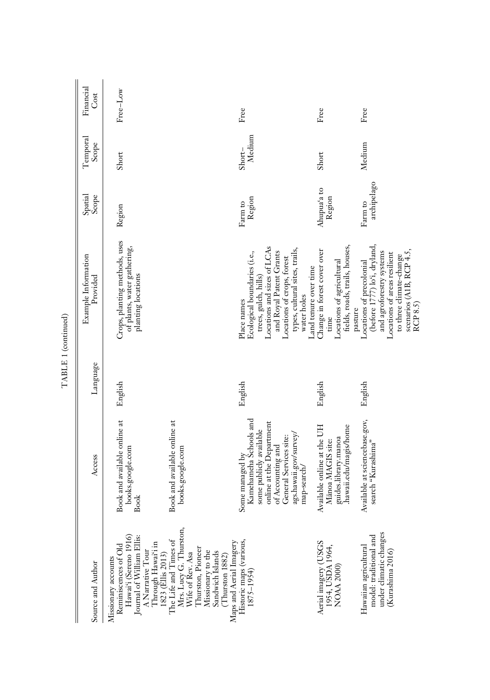| Source and Author                                                                                                                                                                                                                                                           | Access                                                                                                                                                                                   | Language | Example Information<br>Provided                                                                                                                                                                              | Spatial<br>Scope       | Temporal<br>Scope | Financial<br>$\rm Cost$ |
|-----------------------------------------------------------------------------------------------------------------------------------------------------------------------------------------------------------------------------------------------------------------------------|------------------------------------------------------------------------------------------------------------------------------------------------------------------------------------------|----------|--------------------------------------------------------------------------------------------------------------------------------------------------------------------------------------------------------------|------------------------|-------------------|-------------------------|
| Hawai'i (Sereno 1916)<br>Reminiscences of Old<br>Missionary accounts                                                                                                                                                                                                        | sook and available online at<br>books.google.com<br>3ook                                                                                                                                 | English  | Crops, planting methods, uses<br>of plants, water gathering,<br>planting locations                                                                                                                           | Region                 | Short             | Free-Low                |
| Journal of William Ellis:<br>A Narrative Tour<br>Through Hawai'i in<br>1823 (Ellis 2013)<br>The Life and Times of<br>Mrs. Lucy G. Thurston,<br>Wife of Rev. Asa<br>Maps and Aerial Imagery<br>Thurston, Pioneer<br>Missionary to the<br>Sandwich Islands<br>(Thurston 1882) | Book and available online at<br>books.google.com                                                                                                                                         |          |                                                                                                                                                                                                              |                        |                   |                         |
| Historic maps (various,<br>$1875 - 1954$                                                                                                                                                                                                                                    | Kamehameha Schools and<br>online at the Department<br>some publicly available<br>ags.hawaii.gov/survey/<br>General Services site:<br>of Accounting and<br>Some managed by<br>map-search/ | English  | Locations and sizes of LCAs<br>types, cultural sites, trails,<br>Ecological boundaries (i.e.,<br>and Royal Patent Grants<br>Locations of crops, forest<br>trees, gulch, hills)<br>water holes<br>Place names | Region<br>Farm to      | Medium<br>Short-  | Free                    |
| Aerial imagery (USGS<br>1954, USDA 1964,<br>NOAA 2000)                                                                                                                                                                                                                      | hawaii.edu/magis/home<br>Available online at the UH<br>guides.library.manoa<br>Manoa MAGIS site:                                                                                         | English  | fields, roads, trails, houses,<br>Change in forest cover over<br>Locations of agricultural<br>Land tenure over time<br>time                                                                                  | Ahupua'a to<br>Region  | Short             | Free                    |
| under climatic changes<br>model: traditional and<br>Hawaiian agricultural<br>Kurashima 2016)                                                                                                                                                                                | Available at sciencebase.gov,<br>search "Kurashima"                                                                                                                                      | English  | Locations of precolonial<br>(before 1777) lo'i, dryland,<br>scenarios (A1B, RCP 4.5,<br>and agroforestry systems<br>Locations of areas resilient<br>to three climate-change<br>RCP 8.5)<br>pasture           | archipelago<br>Farm to | Medium            | Free                    |

 $\operatorname{TABLE}$  l (continued) TABLE 1 (continued)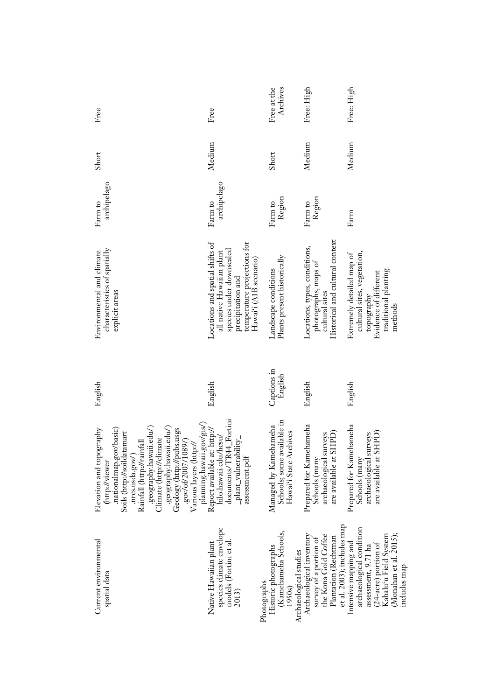| Free                                                                                                                                                                                                                                                                                                                                             | Free                                                                                                                                                                   | Free at the<br>Archives                                                       | Free: High                                                                                                 | Free: High                                                                                                                                                                                                                                                                                |
|--------------------------------------------------------------------------------------------------------------------------------------------------------------------------------------------------------------------------------------------------------------------------------------------------------------------------------------------------|------------------------------------------------------------------------------------------------------------------------------------------------------------------------|-------------------------------------------------------------------------------|------------------------------------------------------------------------------------------------------------|-------------------------------------------------------------------------------------------------------------------------------------------------------------------------------------------------------------------------------------------------------------------------------------------|
| Short                                                                                                                                                                                                                                                                                                                                            | Medium                                                                                                                                                                 | Short                                                                         | Medium                                                                                                     | Medium                                                                                                                                                                                                                                                                                    |
| archipelago<br>Farm to                                                                                                                                                                                                                                                                                                                           | archipelago<br>Farm to                                                                                                                                                 | Region<br>Farm to                                                             | Region<br>Farm to                                                                                          | Farm                                                                                                                                                                                                                                                                                      |
| characteristics of spatially<br>Environmental and climate<br>explicit areas                                                                                                                                                                                                                                                                      | Locations and spatial shifts of<br>temperature projections for<br>species under downscaled<br>all native Hawaiian plant<br>Hawai'i (A1B scenario)<br>precipitation and | Plants present historically<br>Landscape conditions                           | Historical and cultural context<br>Locations, types, conditions,<br>photographs, maps of<br>cultural sites | cultural sites, vegetation,<br>Extremely detailed map of<br>traditional planting<br>topography<br>Evidence of different<br>methods                                                                                                                                                        |
| English                                                                                                                                                                                                                                                                                                                                          | English                                                                                                                                                                | Captions in<br>English                                                        | English                                                                                                    | English                                                                                                                                                                                                                                                                                   |
| planning.hawaii.gov/gis/)<br>.geography.hawaii.edu/)<br>.geography.hawaii.edu/)<br>.nationalmap.gov/basic)<br>Elevation and topography<br>Geology (http://pubs.usgs<br>Soils (http://soildatamart<br>Climate (http://climate<br>.gov/of/2007/1089/<br>Rainfall (http://rainfall<br>Various layers (http://<br>.nrcs.usda.gov/)<br>(http://viewer | documents/TR44 Fortini<br>Report available at: http://<br>hilo.hawaii.edu/hcsu/<br>_plant_vulnerability_<br>assessment.pdf                                             | Schools; some available in<br>Managed by Kamehameha<br>Hawai'i State Archives | Prepared for Kamehameha<br>are available at SHPD)<br>archaeological surveys<br>Schools (many               | Prepared for Kamehameha<br>are available at SHPD)<br>archaeological surveys<br>Schools (many                                                                                                                                                                                              |
| Current environmental<br>spatial data                                                                                                                                                                                                                                                                                                            | species climate envelope<br>models (Fortini et al.<br>Native Hawaiian plant<br>2013)                                                                                   |                                                                               |                                                                                                            | Photographs<br>Historic photographs<br>(Kamehameha Schools,<br>(Kamehameha Schools,<br>1950s)<br>Archaeological struits<br>survey of a portion of<br>the Kona Gold Coffee<br>the Kona Gold Coffee<br>the Kona Gold Coffee<br>the Kona Gold Coffee<br>Monahan et al. 2015);<br>ncludes map |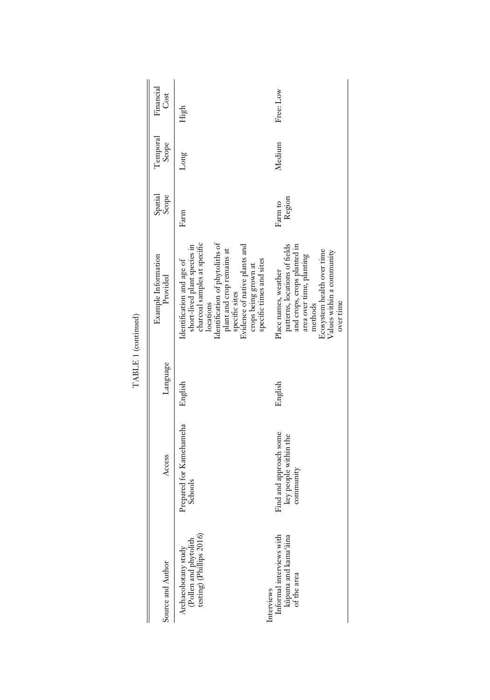| Financial<br>Cost               | High                                                                                                                                                                                                                                                                          | Free: Low                                                                                                                                                                                           |
|---------------------------------|-------------------------------------------------------------------------------------------------------------------------------------------------------------------------------------------------------------------------------------------------------------------------------|-----------------------------------------------------------------------------------------------------------------------------------------------------------------------------------------------------|
| Temporal<br>Scope               | Long                                                                                                                                                                                                                                                                          | Medium                                                                                                                                                                                              |
| Scope<br>Spatial                | Farm                                                                                                                                                                                                                                                                          | Region<br>Farm to                                                                                                                                                                                   |
| Example Information<br>Provided | charcoal samples at specific<br>Identification of phytoliths of<br>Evidence of native plants and<br>short-lived plant species in<br>plant and crop remains at<br>specific times and sites<br>Identification and age of<br>crops being grown at<br>specific sites<br>locations | patterns, locations of fields<br>and crops, crops planted in<br>Ecosystem health over time<br>Values within a community<br>area over time, planting<br>Place names, weather<br>over time<br>methods |
| Language                        | English                                                                                                                                                                                                                                                                       | English                                                                                                                                                                                             |
| Access                          | Prepared for Kamehameha<br>Schools                                                                                                                                                                                                                                            | Find and approach some<br>key people within the<br>community                                                                                                                                        |
| Source and Author               | Archaeobotany study<br>(Pollen and phytolith<br>testing) (Phillips 2016)                                                                                                                                                                                                      | kūpuna and kama'āina<br>interviews<br>Informal interviews with<br>$\frac{1}{1}$ <sub><math>\frac{1}{2}</math></sub> , $\frac{1}{2}$<br>of the area                                                  |

 $\rm{TABLE\ 1\ (continued)}$ TABLE 1 (continued)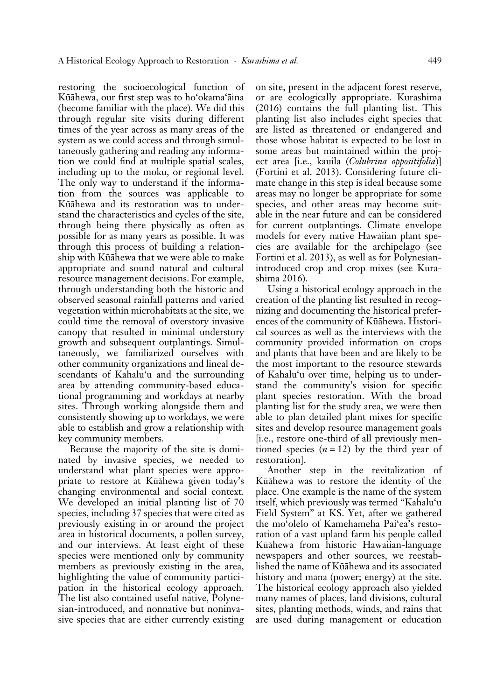restoring the socioecological function of Küähewa, our first step was to ho'okama'äina (become familiar with the place). We did this through regular site visits during different times of the year across as many areas of the system as we could access and through simultaneously gathering and reading any information we could find at multiple spatial scales, including up to the moku, or regional level. The only way to understand if the information from the sources was applicable to Küähewa and its restoration was to understand the characteristics and cycles of the site, through being there physically as often as possible for as many years as possible. It was through this process of building a relationship with Küähewa that we were able to make appropriate and sound natural and cultural resource management decisions. For example, through understanding both the historic and observed seasonal rainfall patterns and varied vegetation within microhabitats at the site, we could time the removal of overstory invasive canopy that resulted in minimal understory growth and subsequent outplantings. Simultaneously, we familiarized ourselves with other community organizations and lineal descendants of Kahalu'u and the surrounding area by attending community-based educational programming and workdays at nearby sites. Through working alongside them and consistently showing up to workdays, we were able to establish and grow a relationship with key community members.

Because the majority of the site is dominated by invasive species, we needed to understand what plant species were appropriate to restore at Küähewa given today's changing environmental and social context. We developed an initial planting list of 70 species, including 37 species that were cited as previously existing in or around the project area in historical documents, a pollen survey, and our interviews. At least eight of these species were mentioned only by community members as previously existing in the area, highlighting the value of community participation in the historical ecology approach. The list also contained useful native, Polynesian-introduced, and nonnative but noninvasive species that are either currently existing

on site, present in the adjacent forest reserve, or are ecologically appropriate. Kurashima (2016) contains the full planting list. This planting list also includes eight species that are listed as threatened or endangered and those whose habitat is expected to be lost in some areas but maintained within the project area [i.e., kauila (*Colubrina oppositifolia*)] (Fortini et al. 2013). Considering future climate change in this step is ideal because some areas may no longer be appropriate for some species, and other areas may become suitable in the near future and can be considered for current outplantings. Climate envelope models for every native Hawaiian plant species are available for the archipelago (see Fortini et al. 2013), as well as for Polynesianintroduced crop and crop mixes (see Kurashima 2016).

Using a historical ecology approach in the creation of the planting list resulted in recognizing and documenting the historical preferences of the community of Küähewa. Historical sources as well as the interviews with the community provided information on crops and plants that have been and are likely to be the most important to the resource stewards of Kahalu'u over time, helping us to understand the community's vision for specific plant species restoration. With the broad planting list for the study area, we were then able to plan detailed plant mixes for specific sites and develop resource management goals [i.e., restore one-third of all previously mentioned species  $(n = 12)$  by the third year of restoration].

Another step in the revitalization of Küähewa was to restore the identity of the place. One example is the name of the system itself, which previously was termed "Kahalu'u Field System" at KS. Yet, after we gathered the mo'olelo of Kamehameha Pai'ea's restoration of a vast upland farm his people called Küähewa from historic Hawaiian-language newspapers and other sources, we reestablished the name of Küähewa and its associated history and mana (power; energy) at the site. The historical ecology approach also yielded many names of places, land divisions, cultural sites, planting methods, winds, and rains that are used during management or education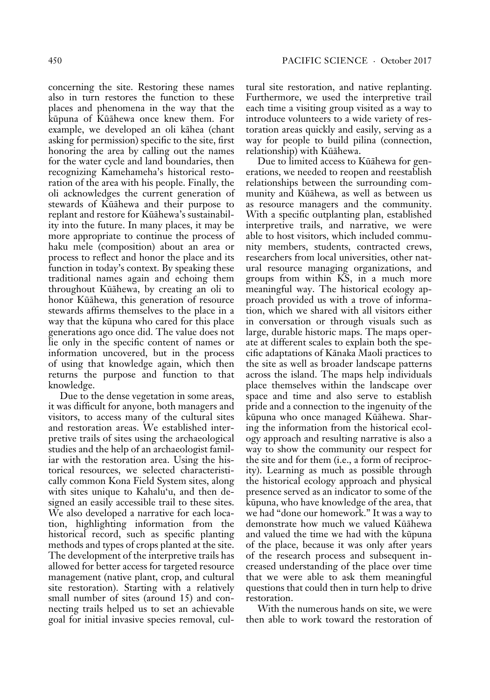concerning the site. Restoring these names also in turn restores the function to these places and phenomena in the way that the küpuna of Küähewa once knew them. For example, we developed an oli kähea (chant asking for permission) specific to the site, first honoring the area by calling out the names for the water cycle and land boundaries, then recognizing Kamehameha's historical restoration of the area with his people. Finally, the oli acknowledges the current generation of stewards of Küähewa and their purpose to replant and restore for Küähewa's sustainability into the future. In many places, it may be more appropriate to continue the process of haku mele (composition) about an area or process to reflect and honor the place and its function in today's context. By speaking these traditional names again and echoing them throughout Küähewa, by creating an oli to honor Küähewa, this generation of resource stewards affirms themselves to the place in a way that the küpuna who cared for this place generations ago once did. The value does not lie only in the specific content of names or information uncovered, but in the process of using that knowledge again, which then returns the purpose and function to that knowledge.

Due to the dense vegetation in some areas, it was difficult for anyone, both managers and visitors, to access many of the cultural sites and restoration areas. We established interpretive trails of sites using the archaeological studies and the help of an archaeologist familiar with the restoration area. Using the historical resources, we selected characteristically common Kona Field System sites, along with sites unique to Kahalu'u, and then designed an easily accessible trail to these sites. We also developed a narrative for each location, highlighting information from the historical record, such as specific planting methods and types of crops planted at the site. The development of the interpretive trails has allowed for better access for targeted resource management (native plant, crop, and cultural site restoration). Starting with a relatively small number of sites (around 15) and connecting trails helped us to set an achievable goal for initial invasive species removal, cultural site restoration, and native replanting. Furthermore, we used the interpretive trail each time a visiting group visited as a way to introduce volunteers to a wide variety of restoration areas quickly and easily, serving as a way for people to build pilina (connection, relationship) with Küähewa.

Due to limited access to Küähewa for generations, we needed to reopen and reestablish relationships between the surrounding community and Küähewa, as well as between us as resource managers and the community. With a specific outplanting plan, established interpretive trails, and narrative, we were able to host visitors, which included community members, students, contracted crews, researchers from local universities, other natural resource managing organizations, and groups from within KS, in a much more meaningful way. The historical ecology approach provided us with a trove of information, which we shared with all visitors either in conversation or through visuals such as large, durable historic maps. The maps operate at different scales to explain both the specific adaptations of Känaka Maoli practices to the site as well as broader landscape patterns across the island. The maps help individuals place themselves within the landscape over space and time and also serve to establish pride and a connection to the ingenuity of the küpuna who once managed Küähewa. Sharing the information from the historical ecology approach and resulting narrative is also a way to show the community our respect for the site and for them (i.e., a form of reciprocity). Learning as much as possible through the historical ecology approach and physical presence served as an indicator to some of the küpuna, who have knowledge of the area, that we had "done our homework." It was a way to demonstrate how much we valued Küähewa and valued the time we had with the küpuna of the place, because it was only after years of the research process and subsequent increased understanding of the place over time that we were able to ask them meaningful questions that could then in turn help to drive restoration.

With the numerous hands on site, we were then able to work toward the restoration of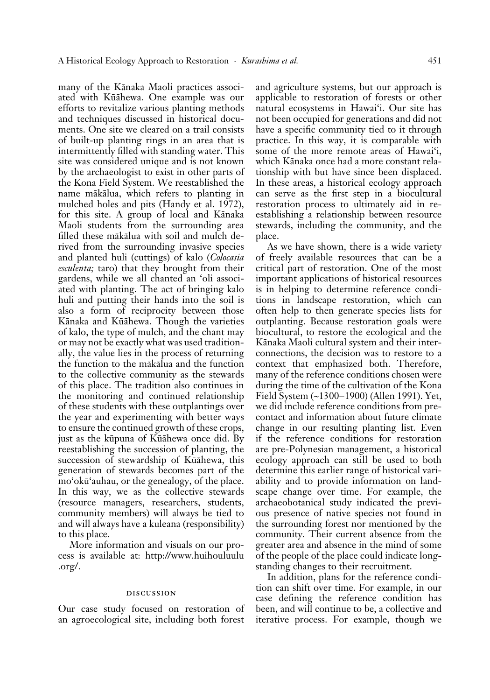many of the Känaka Maoli practices associated with Küähewa. One example was our efforts to revitalize various planting methods and techniques discussed in historical documents. One site we cleared on a trail consists of built-up planting rings in an area that is intermittently filled with standing water. This site was considered unique and is not known by the archaeologist to exist in other parts of the Kona Field System. We reestablished the name mäkälua, which refers to planting in mulched holes and pits (Handy et al. 1972), for this site. A group of local and Känaka Maoli students from the surrounding area filled these mäkälua with soil and mulch derived from the surrounding invasive species and planted huli (cuttings) of kalo (*Colocasia esculenta;* taro) that they brought from their gardens, while we all chanted an 'oli associated with planting. The act of bringing kalo huli and putting their hands into the soil is also a form of reciprocity between those Känaka and Küähewa. Though the varieties of kalo, the type of mulch, and the chant may or may not be exactly what was used traditionally, the value lies in the process of returning the function to the mäkälua and the function to the collective community as the stewards of this place. The tradition also continues in the monitoring and continued relationship of these students with these outplantings over the year and experimenting with better ways to ensure the continued growth of these crops, just as the küpuna of Küähewa once did. By reestablishing the succession of planting, the succession of stewardship of Küähewa, this generation of stewards becomes part of the mo'okü'auhau, or the genealogy, of the place. In this way, we as the collective stewards (resource managers, researchers, students, community members) will always be tied to and will always have a kuleana (responsibility) to this place.

More information and visuals on our process is available at: http://www.huihouluulu .org/.

#### discussion

Our case study focused on restoration of an agroecological site, including both forest

and agriculture systems, but our approach is applicable to restoration of forests or other natural ecosystems in Hawai'i. Our site has not been occupied for generations and did not have a specific community tied to it through practice. In this way, it is comparable with some of the more remote areas of Hawai'i, which Känaka once had a more constant relationship with but have since been displaced. In these areas, a historical ecology approach can serve as the first step in a biocultural restoration process to ultimately aid in reestablishing a relationship between resource stewards, including the community, and the place.

As we have shown, there is a wide variety of freely available resources that can be a critical part of restoration. One of the most important applications of historical resources is in helping to determine reference conditions in landscape restoration, which can often help to then generate species lists for outplanting. Because restoration goals were biocultural, to restore the ecological and the Känaka Maoli cultural system and their interconnections, the decision was to restore to a context that emphasized both. Therefore, many of the reference conditions chosen were during the time of the cultivation of the Kona Field System (~1300–1900) (Allen 1991). Yet, we did include reference conditions from precontact and information about future climate change in our resulting planting list. Even if the reference conditions for restoration are pre-Polynesian management, a historical ecology approach can still be used to both determine this earlier range of historical variability and to provide information on landscape change over time. For example, the archaeobotanical study indicated the previous presence of native species not found in the surrounding forest nor mentioned by the community. Their current absence from the greater area and absence in the mind of some of the people of the place could indicate longstanding changes to their recruitment.

In addition, plans for the reference condition can shift over time. For example, in our case defining the reference condition has been, and will continue to be, a collective and iterative process. For example, though we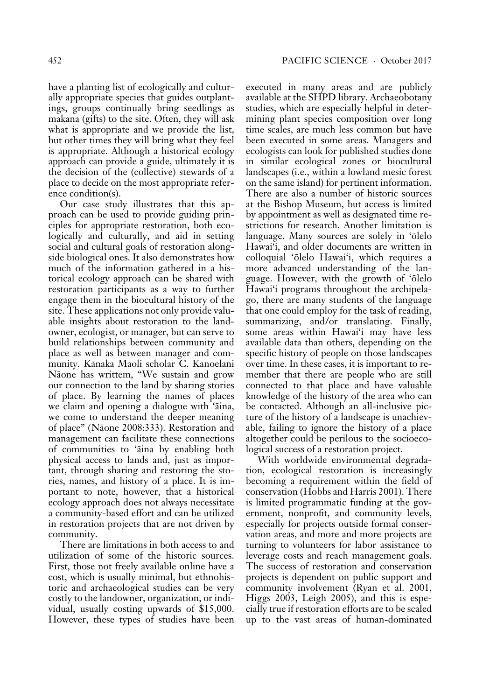have a planting list of ecologically and culturally appropriate species that guides outplantings, groups continually bring seedlings as makana (gifts) to the site. Often, they will ask what is appropriate and we provide the list, but other times they will bring what they feel is appropriate. Although a historical ecology approach can provide a guide, ultimately it is the decision of the (collective) stewards of a place to decide on the most appropriate reference condition(s).

Our case study illustrates that this approach can be used to provide guiding principles for appropriate restoration, both ecologically and culturally, and aid in setting social and cultural goals of restoration alongside biological ones. It also demonstrates how much of the information gathered in a historical ecology approach can be shared with restoration participants as a way to further engage them in the biocultural history of the site. These applications not only provide valuable insights about restoration to the landowner, ecologist, or manager, but can serve to build relationships between community and place as well as between manager and community. Känaka Maoli scholar C. Kanoelani Näone has writtem, "We sustain and grow our connection to the land by sharing stories of place. By learning the names of places we claim and opening a dialogue with 'äina, we come to understand the deeper meaning of place" (Näone 2008:333). Restoration and management can facilitate these connections of communities to 'äina by enabling both physical access to lands and, just as important, through sharing and restoring the stories, names, and history of a place. It is important to note, however, that a historical ecology approach does not always necessitate a community-based effort and can be utilized in restoration projects that are not driven by community.

There are limitations in both access to and utilization of some of the historic sources. First, those not freely available online have a cost, which is usually minimal, but ethnohistoric and archaeological studies can be very costly to the landowner, organization, or individual, usually costing upwards of \$15,000. However, these types of studies have been

executed in many areas and are publicly available at the SHPD library. Archaeobotany studies, which are especially helpful in determining plant species composition over long time scales, are much less common but have been executed in some areas. Managers and ecologists can look for published studies done in similar ecological zones or biocultural landscapes (i.e., within a lowland mesic forest on the same island) for pertinent information. There are also a number of historic sources at the Bishop Museum, but access is limited by appointment as well as designated time restrictions for research. Another limitation is language. Many sources are solely in 'ölelo Hawai'i, and older documents are written in colloquial 'ölelo Hawai'i, which requires a more advanced understanding of the language. However, with the growth of 'ölelo Hawai'i programs throughout the archipelago, there are many students of the language that one could employ for the task of reading, summarizing, and/or translating. Finally, some areas within Hawai'i may have less available data than others, depending on the specific history of people on those landscapes over time. In these cases, it is important to remember that there are people who are still connected to that place and have valuable knowledge of the history of the area who can be contacted. Although an all-inclusive picture of the history of a landscape is unachievable, failing to ignore the history of a place altogether could be perilous to the socioecological success of a restoration project.

With worldwide environmental degradation, ecological restoration is increasingly becoming a requirement within the field of conservation (Hobbs and Harris 2001). There is limited programmatic funding at the government, nonprofit, and community levels, especially for projects outside formal conservation areas, and more and more projects are turning to volunteers for labor assistance to leverage costs and reach management goals. The success of restoration and conservation projects is dependent on public support and community involvement (Ryan et al. 2001, Higgs 2003, Leigh 2005), and this is especially true if restoration efforts are to be scaled up to the vast areas of human-dominated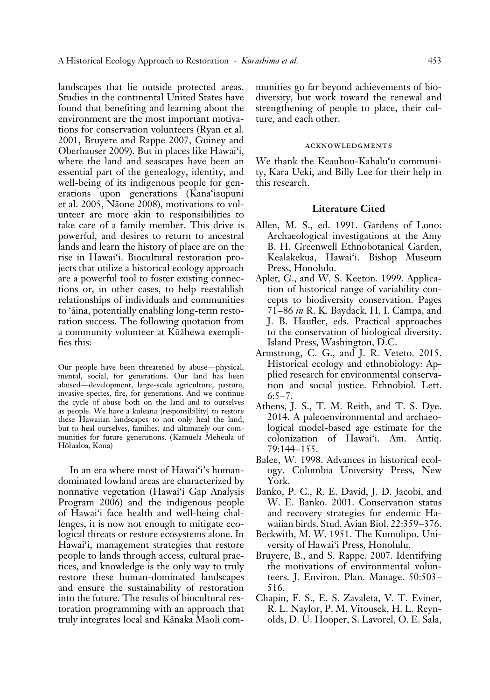landscapes that lie outside protected areas. Studies in the continental United States have found that benefiting and learning about the environment are the most important motivations for conservation volunteers (Ryan et al. 2001, Bruyere and Rappe 2007, Guiney and Oberhauser 2009). But in places like Hawai'i, where the land and seascapes have been an essential part of the genealogy, identity, and well-being of its indigenous people for generations upon generations (Kana'iaupuni et al. 2005, Näone 2008), motivations to volunteer are more akin to responsibilities to take care of a family member. This drive is powerful, and desires to return to ancestral lands and learn the history of place are on the rise in Hawai'i. Biocultural restoration projects that utilize a historical ecology approach are a powerful tool to foster existing connections or, in other cases, to help reestablish relationships of individuals and communities to 'äina, potentially enabling long-term restoration success. The following quotation from a community volunteer at Küähewa exemplifies this:

Our people have been threatened by abuse—physical, mental, social, for generations. Our land has been abused—development, large-scale agriculture, pasture, invasive species, fire, for generations. And we continue the cycle of abuse both on the land and to ourselves as people. We have a kuleana [responsibility] to restore these Hawaiian landscapes to not only heal the land, but to heal ourselves, families, and ultimately our communities for future generations. (Kamuela Meheula of Hölualoa, Kona)

In an era where most of Hawai'i's humandominated lowland areas are characterized by nonnative vegetation (Hawai'i Gap Analysis Program 2006) and the indigenous people of Hawai'i face health and well-being challenges, it is now not enough to mitigate ecological threats or restore ecosystems alone. In Hawai'i, management strategies that restore people to lands through access, cultural practices, and knowledge is the only way to truly restore these human-dominated landscapes and ensure the sustainability of restoration into the future. The results of biocultural restoration programming with an approach that truly integrates local and Känaka Maoli communities go far beyond achievements of biodiversity, but work toward the renewal and strengthening of people to place, their culture, and each other.

#### acknowledgments

We thank the Keauhou-Kahalu'u community, Kara Ueki, and Billy Lee for their help in this research.

#### **Literature Cited**

- Allen, M. S., ed. 1991. Gardens of Lono: Archaeological investigations at the Amy B. H. Greenwell Ethnobotanical Garden, Kealakekua, Hawai'i. Bishop Museum Press, Honolulu.
- Aplet, G., and W. S. Keeton. 1999. Application of historical range of variability concepts to biodiversity conservation. Pages 71–86 *in* R. K. Baydack, H. I. Campa, and J. B. Haufler, eds. Practical approaches to the conservation of biological diversity. Island Press, Washington, D.C.
- Armstrong, C. G., and J. R. Veteto. 2015. Historical ecology and ethnobiology: Applied research for environmental conservation and social justice. Ethnobiol. Lett.  $6:5-7.$
- Athens, J. S., T. M. Reith, and T. S. Dye. 2014. A paleoenvironmental and archaeological model-based age estimate for the colonization of Hawai'i. Am. Antiq. 79:144–155.
- Balee, W. 1998. Advances in historical ecology. Columbia University Press, New York.
- Banko, P. C., R. E. David, J. D. Jacobi, and W. E. Banko. 2001. Conservation status and recovery strategies for endemic Hawaiian birds. Stud. Avian Biol. 22:359–376.
- Beckwith, M. W. 1951. The Kumulipo. University of Hawai'i Press, Honolulu.
- Bruyere, B., and S. Rappe. 2007. Identifying the motivations of environmental volunteers. J. Environ. Plan. Manage. 50:503– 516.
- Chapin, F. S., E. S. Zavaleta, V. T. Eviner, R. L. Naylor, P. M. Vitousek, H. L. Reynolds, D. U. Hooper, S. Lavorel, O. E. Sala,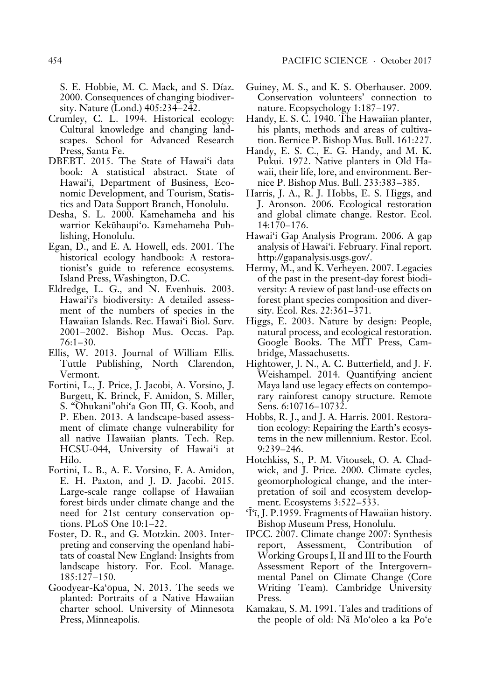S. E. Hobbie, M. C. Mack, and S. Díaz. 2000. Consequences of changing biodiversity. Nature (Lond.) 405:234–242.

- Crumley, C. L. 1994. Historical ecology: Cultural knowledge and changing landscapes. School for Advanced Research Press, Santa Fe.
- DBEBT. 2015. The State of Hawai'i data book: A statistical abstract. State of Hawai'i, Department of Business, Economic Development, and Tourism, Statistics and Data Support Branch, Honolulu.
- Desha, S. L. 2000. Kamehameha and his warrior Kekühaupi'o. Kamehameha Publishing, Honolulu.
- Egan, D., and E. A. Howell, eds. 2001. The historical ecology handbook: A restorationist's guide to reference ecosystems. Island Press, Washington, D.C.
- Eldredge, L. G., and N. Evenhuis. 2003. Hawai'i's biodiversity: A detailed assessment of the numbers of species in the Hawaiian Islands. Rec. Hawai'i Biol. Surv. 2001–2002. Bishop Mus. Occas. Pap. 76:1–30.
- Ellis, W. 2013. Journal of William Ellis. Tuttle Publishing, North Clarendon, Vermont.
- Fortini, L., J. Price, J. Jacobi, A. Vorsino, J. Burgett, K. Brinck, F. Amidon, S. Miller, S. "Ohukani"ohi'a Gon III, G. Koob, and P. Eben. 2013. A landscape-based assessment of climate change vulnerability for all native Hawaiian plants. Tech. Rep. HCSU-044, University of Hawai'i at Hilo.
- Fortini, L. B., A. E. Vorsino, F. A. Amidon, E. H. Paxton, and J. D. Jacobi. 2015. Large-scale range collapse of Hawaiian forest birds under climate change and the need for 21st century conservation options. PLoS One 10:1–22.
- Foster, D. R., and G. Motzkin. 2003. Interpreting and conserving the openland habitats of coastal New England: Insights from landscape history. For. Ecol. Manage. 185:127–150.
- Goodyear-Ka'öpua, N. 2013. The seeds we planted: Portraits of a Native Hawaiian charter school. University of Minnesota Press, Minneapolis.
- Guiney, M. S., and K. S. Oberhauser. 2009. Conservation volunteers' connection to nature. Ecopsychology 1:187–197.
- Handy, E. S. C. 1940. The Hawaiian planter, his plants, methods and areas of cultivation. Bernice P. Bishop Mus. Bull. 161:227.
- Handy, E. S. C., E. G. Handy, and M. K. Pukui. 1972. Native planters in Old Hawaii, their life, lore, and environment. Bernice P. Bishop Mus. Bull. 233:383–385.
- Harris, J. A., R. J. Hobbs, E. S. Higgs, and J. Aronson. 2006. Ecological restoration and global climate change. Restor. Ecol. 14:170–176.
- Hawai'i Gap Analysis Program. 2006. A gap analysis of Hawai'i. February. Final report. http://gapanalysis.usgs.gov/.
- Hermy, M., and K. Verheyen. 2007. Legacies of the past in the present-day forest biodiversity: A review of past land-use effects on forest plant species composition and diversity. Ecol. Res. 22:361–371.
- Higgs, E. 2003. Nature by design: People, natural process, and ecological restoration. Google Books. The MIT Press, Cambridge, Massachusetts.
- Hightower, J. N., A. C. Butterfield, and J. F. Weishampel. 2014. Quantifying ancient Maya land use legacy effects on contemporary rainforest canopy structure. Remote Sens. 6:10716–10732.
- Hobbs, R. J., and J. A. Harris. 2001. Restoration ecology: Repairing the Earth's ecosystems in the new millennium. Restor. Ecol. 9:239–246.
- Hotchkiss, S., P. M. Vitousek, O. A. Chadwick, and J. Price. 2000. Climate cycles, geomorphological change, and the interpretation of soil and ecosystem development. Ecosystems 3:522–533.
- 'Ï'ï, J. P.1959. Fragments of Hawaiian history. Bishop Museum Press, Honolulu.
- IPCC. 2007. Climate change 2007: Synthesis report, Assessment, Contribution of Working Groups I, II and III to the Fourth Assessment Report of the Intergovernmental Panel on Climate Change (Core Writing Team). Cambridge University Press.
- Kamakau, S. M. 1991. Tales and traditions of the people of old: Nä Mo'oleo a ka Po'e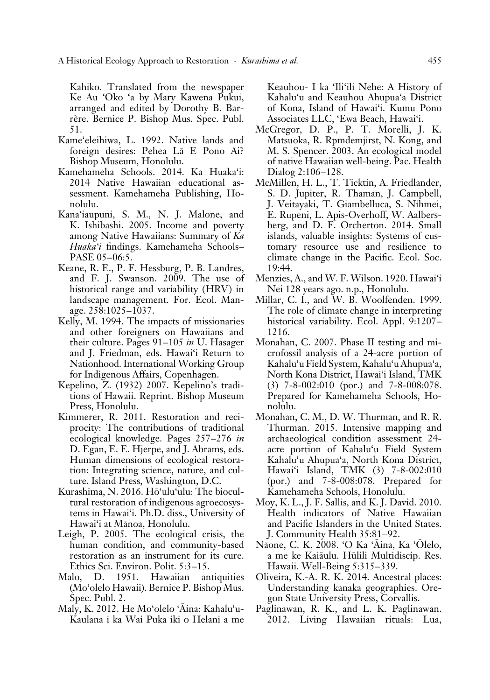Kahiko. Translated from the newspaper Ke Au 'Oko 'a by Mary Kawena Pukui, arranged and edited by Dorothy B. Barrère. Bernice P. Bishop Mus. Spec. Publ. 51.

- Kame'eleihiwa, L. 1992. Native lands and foreign desires: Pehea Lä E Pono Ai? Bishop Museum, Honolulu.
- Kamehameha Schools. 2014. Ka Huaka'i: 2014 Native Hawaiian educational assessment. Kamehameha Publishing, Honolulu.
- Kana'iaupuni, S. M., N. J. Malone, and K. Ishibashi. 2005. Income and poverty among Native Hawaiians: Summary of *Ka Huaka'i* findings. Kamehameha Schools– PASE 05–06:5.
- Keane, R. E., P. F. Hessburg, P. B. Landres, and F. J. Swanson. 2009. The use of historical range and variability (HRV) in landscape management. For. Ecol. Manage. 258:1025–1037.
- Kelly, M. 1994. The impacts of missionaries and other foreigners on Hawaiians and their culture. Pages 91–105 *in* U. Hasager and J. Friedman, eds. Hawai'i Return to Nationhood. International Working Group for Indigenous Affairs, Copenhagen.
- Kepelino, Z. (1932) 2007. Kepelino's traditions of Hawaii. Reprint. Bishop Museum Press, Honolulu.
- Kimmerer, R. 2011. Restoration and reciprocity: The contributions of traditional ecological knowledge. Pages 257–276 *in* D. Egan, E. E. Hjerpe, and J. Abrams, eds. Human dimensions of ecological restoration: Integrating science, nature, and culture. Island Press, Washington, D.C.
- Kurashima, N. 2016. Hö'ulu'ulu: The biocultural restoration of indigenous agroecosystems in Hawai'i. Ph.D. diss., University of Hawai'i at Mänoa, Honolulu.
- Leigh, P. 2005. The ecological crisis, the human condition, and community-based restoration as an instrument for its cure. Ethics Sci. Environ. Polit. 5:3–15.
- Malo, D. 1951. Hawaiian antiquities (Mo'olelo Hawaii). Bernice P. Bishop Mus. Spec. Publ. 2.
- Maly, K. 2012. He Mo'olelo 'Äina: Kahalu'u-Kaulana i ka Wai Puka iki o Helani a me

Keauhou- I ka 'Ili'ili Nehe: A History of Kahalu'u and Keauhou Ahupua'a District of Kona, Island of Hawai'i. Kumu Pono Associates LLC, 'Ewa Beach, Hawai'i.

- McGregor, D. P., P. T. Morelli, J. K. Matsuoka, R. Rpmdemjirst, N. Kong, and M. S. Spencer. 2003. An ecological model of native Hawaiian well-being. Pac. Health Dialog 2:106–128.
- McMillen, H. L., T. Ticktin, A. Friedlander, S. D. Jupiter, R. Thaman, J. Campbell, J. Veitayaki, T. Giambelluca, S. Nihmei, E. Rupeni, L. Apis-Overhoff, W. Aalbersberg, and D. F. Orcherton. 2014. Small islands, valuable insights: Systems of customary resource use and resilience to climate change in the Pacific. Ecol. Soc. 19:44.
- Menzies, A., and W. F. Wilson. 1920. Hawai'i Nei 128 years ago. n.p., Honolulu.
- Millar, C. I., and W. B. Woolfenden. 1999. The role of climate change in interpreting historical variability. Ecol. Appl. 9:1207– 1216.
- Monahan, C. 2007. Phase II testing and microfossil analysis of a 24-acre portion of Kahalu'u Field System, Kahalu'u Ahupua'a, North Kona District, Hawai'i Island, TMK (3) 7-8-002:010 (por.) and 7-8-008:078. Prepared for Kamehameha Schools, Honolulu.
- Monahan, C. M., D. W. Thurman, and R. R. Thurman. 2015. Intensive mapping and archaeological condition assessment 24 acre portion of Kahalu'u Field System Kahalu'u Ahupua'a, North Kona District, Hawai'i Island, TMK (3) 7-8-002:010 (por.) and 7-8-008:078. Prepared for Kamehameha Schools, Honolulu.
- Moy, K. L., J. F. Sallis, and K. J. David. 2010. Health indicators of Native Hawaiian and Pacific Islanders in the United States. J. Community Health 35:81–92.
- Näone, C. K. 2008. 'O Ka 'Äina, Ka 'Ölelo, a me ke Kaiäulu. Hülili Multidiscip. Res. Hawaii. Well-Being 5:315–339.
- Oliveira, K.-A. R. K. 2014. Ancestral places: Understanding kanaka geographies. Oregon State University Press, Corvallis.
- Paglinawan, R. K., and L. K. Paglinawan. 2012. Living Hawaiian rituals: Lua,